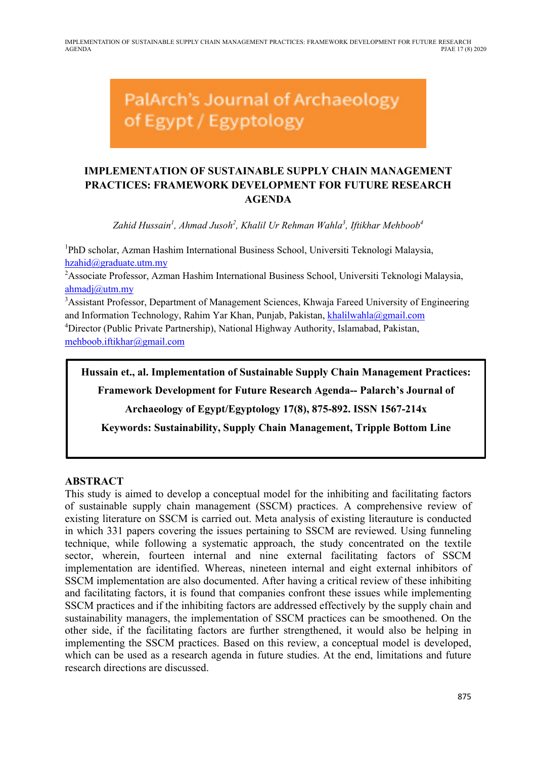IMPLEMENTATION OF SUSTAINABLE SUPPLY CHAIN MANAGEMENT PRACTICES: FRAMEWORK DEVELOPMENT FOR FUTURE RESEARCH AGENDA PJAE 17 (8) 2020

# PalArch's Journal of Archaeology of Egypt / Egyptology

# **IMPLEMENTATION OF SUSTAINABLE SUPPLY CHAIN MANAGEMENT PRACTICES: FRAMEWORK DEVELOPMENT FOR FUTURE RESEARCH AGENDA**

Zahid Hussain<sup>1</sup>, Ahmad Jusoh<sup>2</sup>, Khalil Ur Rehman Wahla<sup>3</sup>, Iftikhar Mehboob<sup>4</sup>

<sup>1</sup>PhD scholar, Azman Hashim International Business School, Universiti Teknologi Malaysia, hzahid@graduate.utm.my

<sup>2</sup> Associate Professor, Azman Hashim International Business School, Universiti Teknologi Malaysia, ahmadj@utm.my

<sup>3</sup> Assistant Professor, Department of Management Sciences, Khwaja Fareed University of Engineering and Information Technology, Rahim Yar Khan, Punjab, Pakistan, khalilwahla@gmail.com 4 Director (Public Private Partnership), National Highway Authority, Islamabad, Pakistan, mehboob.iftikhar@gmail.com

**Hussain et., al. Implementation of Sustainable Supply Chain Management Practices:** 

**Framework Development for Future Research Agenda-- Palarch's Journal of** 

**Archaeology of Egypt/Egyptology 17(8), 875-892. ISSN 1567-214x**

**Keywords: Sustainability, Supply Chain Management, Tripple Bottom Line**

#### **ABSTRACT**

This study is aimed to develop a conceptual model for the inhibiting and facilitating factors of sustainable supply chain management (SSCM) practices. A comprehensive review of existing literature on SSCM is carried out. Meta analysis of existing literauture is conducted in which 331 papers covering the issues pertaining to SSCM are reviewed. Using funneling technique, while following a systematic approach, the study concentrated on the textile sector, wherein, fourteen internal and nine external facilitating factors of SSCM implementation are identified. Whereas, nineteen internal and eight external inhibitors of SSCM implementation are also documented. After having a critical review of these inhibiting and facilitating factors, it is found that companies confront these issues while implementing SSCM practices and if the inhibiting factors are addressed effectively by the supply chain and sustainability managers, the implementation of SSCM practices can be smoothened. On the other side, if the facilitating factors are further strengthened, it would also be helping in implementing the SSCM practices. Based on this review, a conceptual model is developed, which can be used as a research agenda in future studies. At the end, limitations and future research directions are discussed.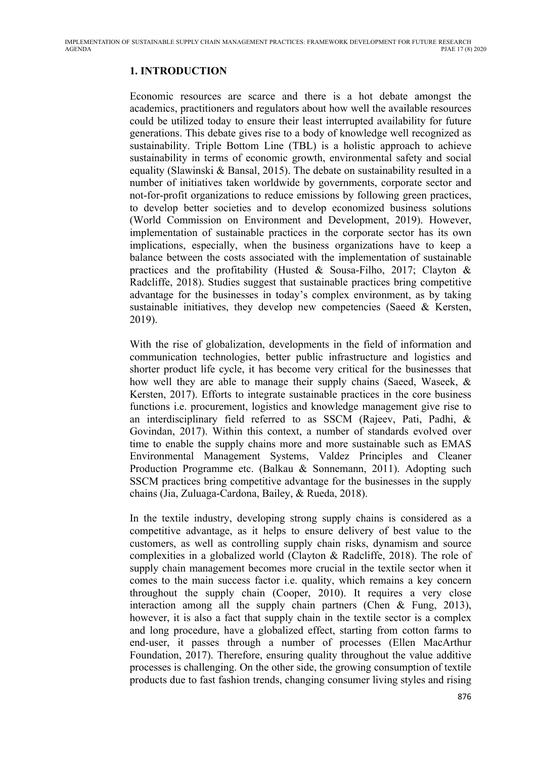# **1. INTRODUCTION**

Economic resources are scarce and there is a hot debate amongst the academics, practitioners and regulators about how well the available resources could be utilized today to ensure their least interrupted availability for future generations. This debate gives rise to a body of knowledge well recognized as sustainability. Triple Bottom Line (TBL) is a holistic approach to achieve sustainability in terms of economic growth, environmental safety and social equality (Slawinski & Bansal, 2015). The debate on sustainability resulted in a number of initiatives taken worldwide by governments, corporate sector and not-for-profit organizations to reduce emissions by following green practices, to develop better societies and to develop economized business solutions (World Commission on Environment and Development, 2019). However, implementation of sustainable practices in the corporate sector has its own implications, especially, when the business organizations have to keep a balance between the costs associated with the implementation of sustainable practices and the profitability (Husted & Sousa-Filho, 2017; Clayton & Radcliffe, 2018). Studies suggest that sustainable practices bring competitive advantage for the businesses in today's complex environment, as by taking sustainable initiatives, they develop new competencies (Saeed & Kersten, 2019).

With the rise of globalization, developments in the field of information and communication technologies, better public infrastructure and logistics and shorter product life cycle, it has become very critical for the businesses that how well they are able to manage their supply chains (Saeed, Waseek, & Kersten, 2017). Efforts to integrate sustainable practices in the core business functions i.e. procurement, logistics and knowledge management give rise to an interdisciplinary field referred to as SSCM (Rajeev, Pati, Padhi, & Govindan, 2017). Within this context, a number of standards evolved over time to enable the supply chains more and more sustainable such as EMAS Environmental Management Systems, Valdez Principles and Cleaner Production Programme etc. (Balkau & Sonnemann, 2011). Adopting such SSCM practices bring competitive advantage for the businesses in the supply chains (Jia, Zuluaga-Cardona, Bailey, & Rueda, 2018).

In the textile industry, developing strong supply chains is considered as a competitive advantage, as it helps to ensure delivery of best value to the customers, as well as controlling supply chain risks, dynamism and source complexities in a globalized world (Clayton & Radcliffe, 2018). The role of supply chain management becomes more crucial in the textile sector when it comes to the main success factor i.e. quality, which remains a key concern throughout the supply chain (Cooper, 2010). It requires a very close interaction among all the supply chain partners (Chen & Fung, 2013), however, it is also a fact that supply chain in the textile sector is a complex and long procedure, have a globalized effect, starting from cotton farms to end-user, it passes through a number of processes (Ellen MacArthur Foundation, 2017). Therefore, ensuring quality throughout the value additive processes is challenging. On the other side, the growing consumption of textile products due to fast fashion trends, changing consumer living styles and rising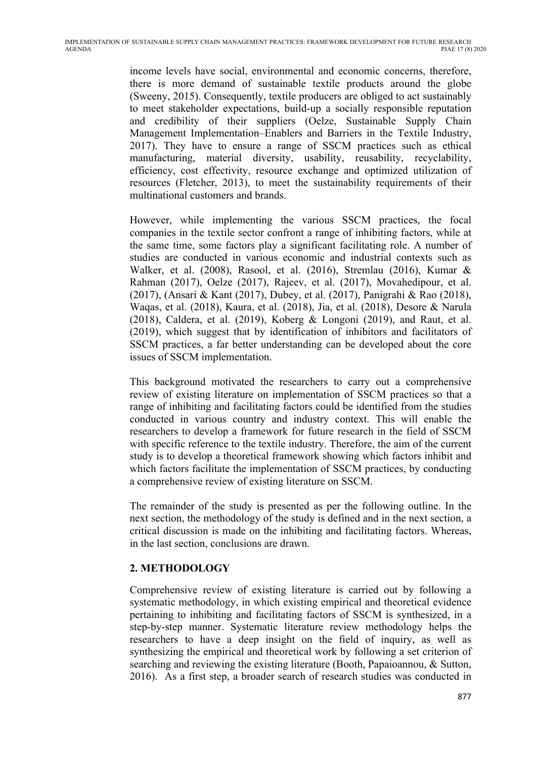income levels have social, environmental and economic concerns, therefore, there is more demand of sustainable textile products around the globe (Sweeny, 2015). Consequently, textile producers are obliged to act sustainably to meet stakeholder expectations, build-up a socially responsible reputation and credibility of their suppliers (Oelze, Sustainable Supply Chain Management Implementation–Enablers and Barriers in the Textile Industry, 2017). They have to ensure a range of SSCM practices such as ethical manufacturing, material diversity, usability, reusability, recyclability, efficiency, cost effectivity, resource exchange and optimized utilization of resources (Fletcher, 2013), to meet the sustainability requirements of their multinational customers and brands.

However, while implementing the various SSCM practices, the focal companies in the textile sector confront a range of inhibiting factors, while at the same time, some factors play a significant facilitating role. A number of studies are conducted in various economic and industrial contexts such as Walker, et al. (2008), Rasool, et al. (2016), Stremlau (2016), Kumar & Rahman (2017), Oelze (2017), Rajeev, et al. (2017), Movahedipour, et al. (2017), (Ansari & Kant (2017), Dubey, et al. (2017), Panigrahi & Rao (2018), Waqas, et al. (2018), Kaura, et al. (2018), Jia, et al. (2018), Desore & Narula (2018), Caldera, et al. (2019), Koberg & Longoni (2019), and Raut, et al. (2019), which suggest that by identification of inhibitors and facilitators of SSCM practices, a far better understanding can be developed about the core issues of SSCM implementation.

This background motivated the researchers to carry out a comprehensive review of existing literature on implementation of SSCM practices so that a range of inhibiting and facilitating factors could be identified from the studies conducted in various country and industry context. This will enable the researchers to develop a framework for future research in the field of SSCM with specific reference to the textile industry. Therefore, the aim of the current study is to develop a theoretical framework showing which factors inhibit and which factors facilitate the implementation of SSCM practices, by conducting a comprehensive review of existing literature on SSCM.

The remainder of the study is presented as per the following outline. In the next section, the methodology of the study is defined and in the next section, a critical discussion is made on the inhibiting and facilitating factors. Whereas, in the last section, conclusions are drawn.

## **2. METHODOLOGY**

Comprehensive review of existing literature is carried out by following a systematic methodology, in which existing empirical and theoretical evidence pertaining to inhibiting and facilitating factors of SSCM is synthesized, in a step-by-step manner. Systematic literature review methodology helps the researchers to have a deep insight on the field of inquiry, as well as synthesizing the empirical and theoretical work by following a set criterion of searching and reviewing the existing literature (Booth, Papaioannou, & Sutton, 2016). As a first step, a broader search of research studies was conducted in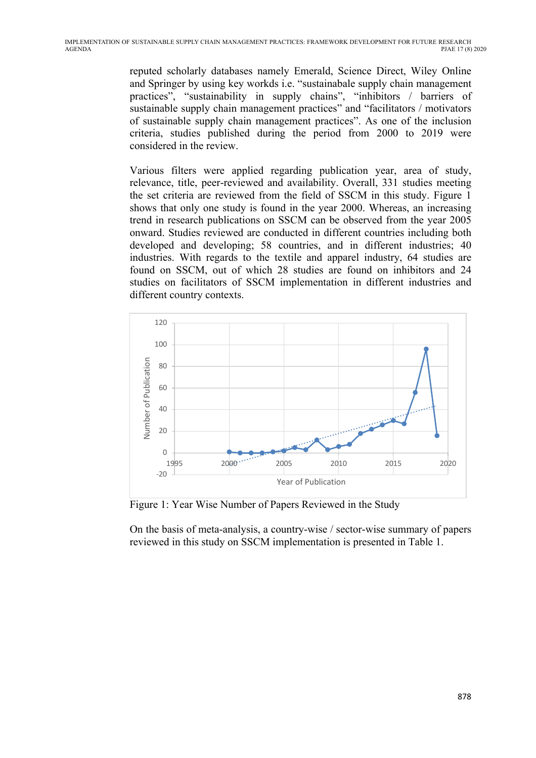reputed scholarly databases namely Emerald, Science Direct, Wiley Online and Springer by using key workds i.e. "sustainabale supply chain management practices", "sustainability in supply chains", "inhibitors / barriers of sustainable supply chain management practices" and "facilitators / motivators of sustainable supply chain management practices". As one of the inclusion criteria, studies published during the period from 2000 to 2019 were considered in the review.

Various filters were applied regarding publication year, area of study, relevance, title, peer-reviewed and availability. Overall, 331 studies meeting the set criteria are reviewed from the field of SSCM in this study. Figure 1 shows that only one study is found in the year 2000. Whereas, an increasing trend in research publications on SSCM can be observed from the year 2005 onward. Studies reviewed are conducted in different countries including both developed and developing; 58 countries, and in different industries; 40 industries. With regards to the textile and apparel industry, 64 studies are found on SSCM, out of which 28 studies are found on inhibitors and 24 studies on facilitators of SSCM implementation in different industries and different country contexts.



Figure 1: Year Wise Number of Papers Reviewed in the Study

On the basis of meta-analysis, a country-wise / sector-wise summary of papers reviewed in this study on SSCM implementation is presented in Table 1.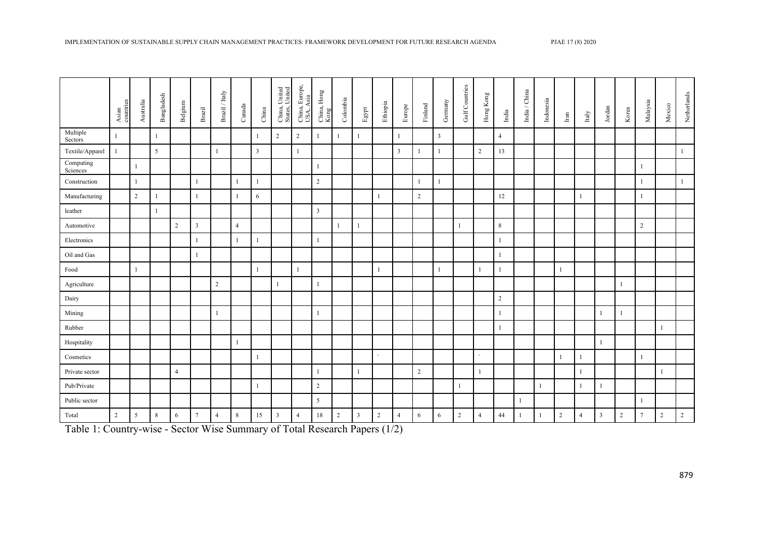|                       | Asian<br>countries | $\label{eq:subdual} {\rm Australia}$ | Bangladesh | Belgium        | $_{\rm Brazil}$         | $\mbox{Brazil\,}/$ Italy | $\mathop{\mathrm{Canada}}$ | ${\rm China}$  | China, United<br>States, United | China, Europe,<br>USA, Asia | $\begin{array}{c} \mathrm{China}, \mathrm{Homg} \\ \mathrm{Kong} \end{array}$ | $\mathop{\mathrm{Colombia}}$ | ${\rm Egpt}$ | Ethiopia       | Europe         | $\ensuremath{\mathsf{Findand}}$ | Germany      | Gulf Countries | $\operatorname{Hom}\nolimits_{\mathbf{g}}\operatorname{Kong}\nolimits$ | $\mathop{\mathrm{India}}$ | $\mbox{India}$ / $\mbox{China}$ | Indonesia | $_{\rm Iran}$  | $_{\rm Italy}$ | $_{\rm Jordan}$ | Korea          | Malaysia       | Mexico       | Netherlands  |
|-----------------------|--------------------|--------------------------------------|------------|----------------|-------------------------|--------------------------|----------------------------|----------------|---------------------------------|-----------------------------|-------------------------------------------------------------------------------|------------------------------|--------------|----------------|----------------|---------------------------------|--------------|----------------|------------------------------------------------------------------------|---------------------------|---------------------------------|-----------|----------------|----------------|-----------------|----------------|----------------|--------------|--------------|
| Multiple<br>Sectors   | $\mathbf{1}$       |                                      |            |                |                         |                          |                            |                | $\overline{2}$                  | 2                           | $\mathbf{1}$                                                                  | $\mathbf{1}$                 | 1            |                | $\mathbf{1}$   |                                 | $\mathbf{3}$ |                |                                                                        | $\overline{4}$            |                                 |           |                |                |                 |                |                |              |              |
| Textile/Apparel       | $\mathbf{1}$       |                                      | 5          |                |                         | $\mathbf{1}$             |                            | $\overline{3}$ |                                 | $\mathbf{1}$                |                                                                               |                              |              |                | $\overline{3}$ |                                 |              |                | $\overline{2}$                                                         | 13                        |                                 |           |                |                |                 |                |                |              | $\mathbf{1}$ |
| Computing<br>Sciences |                    | $\mathbf{1}$                         |            |                |                         |                          |                            |                |                                 |                             | $\mathbf{1}$                                                                  |                              |              |                |                |                                 |              |                |                                                                        |                           |                                 |           |                |                |                 |                |                |              |              |
| Construction          |                    | $\mathbf{1}$                         |            |                | $\overline{1}$          |                          | $\mathbf{1}$               |                |                                 |                             | $\overline{2}$                                                                |                              |              |                |                |                                 | 1            |                |                                                                        |                           |                                 |           |                |                |                 |                |                |              | $\mathbf{1}$ |
| Manufacturing         |                    | $\overline{2}$                       |            |                | -1                      |                          | $\mathbf{1}$               | 6              |                                 |                             |                                                                               |                              |              | $\mathbf{1}$   |                | 2                               |              |                |                                                                        | 12                        |                                 |           |                | 1              |                 |                |                |              |              |
| leather               |                    |                                      |            |                |                         |                          |                            |                |                                 |                             | $\overline{\mathbf{3}}$                                                       |                              |              |                |                |                                 |              |                |                                                                        |                           |                                 |           |                |                |                 |                |                |              |              |
| Automotive            |                    |                                      |            | $\overline{2}$ | $\overline{\mathbf{3}}$ |                          | $\overline{4}$             |                |                                 |                             |                                                                               | $\mathbf{1}$                 | 1            |                |                |                                 |              |                |                                                                        | $\,8\,$                   |                                 |           |                |                |                 |                | $\overline{2}$ |              |              |
| Electronics           |                    |                                      |            |                | -1                      |                          | $\mathbf{1}$               |                |                                 |                             | $\overline{1}$                                                                |                              |              |                |                |                                 |              |                |                                                                        | $\mathbf{1}$              |                                 |           |                |                |                 |                |                |              |              |
| Oil and Gas           |                    |                                      |            |                |                         |                          |                            |                |                                 |                             |                                                                               |                              |              |                |                |                                 |              |                |                                                                        | $\mathbf{1}$              |                                 |           |                |                |                 |                |                |              |              |
| Food                  |                    | $\mathbf{1}$                         |            |                |                         |                          |                            |                |                                 | $\overline{1}$              |                                                                               |                              |              | $\overline{1}$ |                |                                 |              |                | $\overline{1}$                                                         | $\mathbf{1}$              |                                 |           | $\mathbf{1}$   |                |                 |                |                |              |              |
| Agriculture           |                    |                                      |            |                |                         | $\overline{2}$           |                            |                |                                 |                             | $\overline{1}$                                                                |                              |              |                |                |                                 |              |                |                                                                        |                           |                                 |           |                |                |                 |                |                |              |              |
| Dairy                 |                    |                                      |            |                |                         |                          |                            |                |                                 |                             |                                                                               |                              |              |                |                |                                 |              |                |                                                                        | $\sqrt{2}$                |                                 |           |                |                |                 |                |                |              |              |
| Mining                |                    |                                      |            |                |                         | $\overline{1}$           |                            |                |                                 |                             | $\overline{1}$                                                                |                              |              |                |                |                                 |              |                |                                                                        | $\mathbf{1}$              |                                 |           |                |                | $\mathbf{1}$    | -1             |                |              |              |
| Rubber                |                    |                                      |            |                |                         |                          |                            |                |                                 |                             |                                                                               |                              |              |                |                |                                 |              |                |                                                                        | $\mathbf{1}$              |                                 |           |                |                |                 |                |                | $\mathbf{1}$ |              |
| Hospitality           |                    |                                      |            |                |                         |                          | $\mathbf{1}$               |                |                                 |                             |                                                                               |                              |              |                |                |                                 |              |                |                                                                        |                           |                                 |           |                |                | $\mathbf{1}$    |                |                |              |              |
| Cosmetics             |                    |                                      |            |                |                         |                          |                            |                |                                 |                             |                                                                               |                              |              | $\lambda$      |                |                                 |              |                | $\lambda$                                                              |                           |                                 |           | $\overline{1}$ | 1              |                 |                | $\mathbf{1}$   |              |              |
| Private sector        |                    |                                      |            | $\overline{4}$ |                         |                          |                            |                |                                 |                             | $\overline{1}$                                                                |                              |              |                |                | 2                               |              |                | $\overline{1}$                                                         |                           |                                 |           |                | $\mathbf{1}$   |                 |                |                |              |              |
| Pub/Private           |                    |                                      |            |                |                         |                          |                            |                |                                 |                             | $\sqrt{2}$                                                                    |                              |              |                |                |                                 |              |                |                                                                        |                           |                                 |           |                |                | $\mathbf{1}$    |                |                |              |              |
| Public sector         |                    |                                      |            |                |                         |                          |                            |                |                                 |                             | 5                                                                             |                              |              |                |                |                                 |              |                |                                                                        |                           |                                 |           |                |                |                 |                | -1             |              |              |
| Total                 | $\overline{2}$     | 5                                    | 8          | 6              | $\overline{7}$          | $\overline{4}$           | $\,8\,$                    | 15             | $\overline{3}$                  | $\overline{4}$              | 18                                                                            | $\overline{c}$               | 3            | $\overline{2}$ | $\overline{4}$ | 6                               | 6            | $\sqrt{2}$     | $\overline{4}$                                                         | 44                        |                                 |           | $\overline{2}$ | $\overline{4}$ | $\mathbf{3}$    | $\overline{2}$ | $\tau$         | $\sqrt{2}$   | $\sqrt{2}$   |

Table 1: Country-wise - Sector Wise Summary of Total Research Papers (1/2)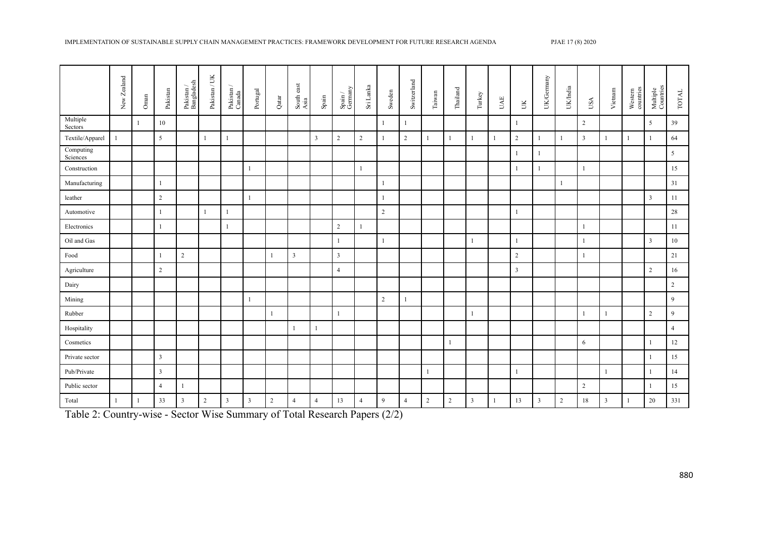|                       | New Zealand | Oman         | Pakistan       | $\begin{array}{c} \textbf{Pakistan}\ / \\ \textbf{Bangladesh} \end{array}$ | Pakistan / UK | $\frac{\text{Pakistan}}{\text{Canada}}$ | Portugal       | Qatar          | South east<br>Asia | $_{\rm Spain}$          | $\frac{\mbox{Spin}\,}{\mbox{Gemany}}$ | Sri Lanka      | Sweden         | Switzerland    | Taiwan         | $\rm Thailand$ and | Turkey                  | UAE          | $\gtrsim$               | UK/Gernany | UK/India       | USA            | Vietnam      | Western<br>countries | Multiple<br>Countries | TOTAL          |
|-----------------------|-------------|--------------|----------------|----------------------------------------------------------------------------|---------------|-----------------------------------------|----------------|----------------|--------------------|-------------------------|---------------------------------------|----------------|----------------|----------------|----------------|--------------------|-------------------------|--------------|-------------------------|------------|----------------|----------------|--------------|----------------------|-----------------------|----------------|
| Multiple<br>Sectors   |             | $\mathbf{1}$ | 10             |                                                                            |               |                                         |                |                |                    |                         |                                       |                | $\mathbf{1}$   |                |                |                    |                         |              | 1                       |            |                | 2              |              |                      | 5                     | 39             |
| Textile/Apparel       |             |              | $\mathfrak{S}$ |                                                                            | $\mathbf{1}$  | $\mathbf{1}$                            |                |                |                    | $\overline{\mathbf{3}}$ | $\overline{2}$                        | $\overline{2}$ | -1             | $\overline{2}$ | $\mathbf{1}$   |                    | $\mathbf{1}$            | $\mathbf{1}$ | $\overline{2}$          |            | $\mathbf{1}$   | $\overline{3}$ |              | 1                    | 1                     | 64             |
| Computing<br>Sciences |             |              |                |                                                                            |               |                                         |                |                |                    |                         |                                       |                |                |                |                |                    |                         |              | 1                       |            |                |                |              |                      |                       | 5              |
| Construction          |             |              |                |                                                                            |               |                                         | $\mathbf{1}$   |                |                    |                         |                                       | $\mathbf{1}$   |                |                |                |                    |                         |              | 1                       |            |                | $\overline{1}$ |              |                      |                       | 15             |
| Manufacturing         |             |              | $\mathbf{1}$   |                                                                            |               |                                         |                |                |                    |                         |                                       |                | $\mathbf{1}$   |                |                |                    |                         |              |                         |            | $\mathbf{1}$   |                |              |                      |                       | 31             |
| leather               |             |              | $\sqrt{2}$     |                                                                            |               |                                         | $\mathbf{1}$   |                |                    |                         |                                       |                | $\overline{1}$ |                |                |                    |                         |              |                         |            |                |                |              |                      | $\overline{3}$        | 11             |
| Automotive            |             |              | $\mathbf{1}$   |                                                                            | -1            | 1                                       |                |                |                    |                         |                                       |                | 2              |                |                |                    |                         |              | $\mathbf{1}$            |            |                |                |              |                      |                       | 28             |
| Electronics           |             |              | $\mathbf{1}$   |                                                                            |               | $\mathbf{1}$                            |                |                |                    |                         | $\sqrt{2}$                            | $\mathbf{1}$   |                |                |                |                    |                         |              |                         |            |                | $\overline{1}$ |              |                      |                       | 11             |
| Oil and Gas           |             |              |                |                                                                            |               |                                         |                |                |                    |                         | $\mathbf{1}$                          |                | -1             |                |                |                    | 1                       |              | 1                       |            |                | -1             |              |                      | $\mathbf{3}$          | 10             |
| Food                  |             |              | $\overline{1}$ | $\overline{2}$                                                             |               |                                         |                |                | $\mathfrak{Z}$     |                         | $\mathbf{3}$                          |                |                |                |                |                    |                         |              | $\overline{2}$          |            |                | $\overline{1}$ |              |                      |                       | 21             |
| Agriculture           |             |              | $\sqrt{2}$     |                                                                            |               |                                         |                |                |                    |                         | $\overline{4}$                        |                |                |                |                |                    |                         |              | $\overline{\mathbf{3}}$ |            |                |                |              |                      | $\sqrt{2}$            | 16             |
| Dairy                 |             |              |                |                                                                            |               |                                         |                |                |                    |                         |                                       |                |                |                |                |                    |                         |              |                         |            |                |                |              |                      |                       | $\overline{2}$ |
| Mining                |             |              |                |                                                                            |               |                                         | $\mathbf{1}$   |                |                    |                         |                                       |                | 2              | 1              |                |                    |                         |              |                         |            |                |                |              |                      |                       | 9              |
| Rubber                |             |              |                |                                                                            |               |                                         |                |                |                    |                         | $\mathbf{1}$                          |                |                |                |                |                    | $\mathbf{1}$            |              |                         |            |                | $\mathbf{1}$   |              |                      | $\overline{2}$        | 9              |
| Hospitality           |             |              |                |                                                                            |               |                                         |                |                | 1                  | 1                       |                                       |                |                |                |                |                    |                         |              |                         |            |                |                |              |                      |                       | $\overline{4}$ |
| Cosmetics             |             |              |                |                                                                            |               |                                         |                |                |                    |                         |                                       |                |                |                |                | $\mathbf{1}$       |                         |              |                         |            |                | 6              |              |                      | -1                    | 12             |
| Private sector        |             |              | $\overline{3}$ |                                                                            |               |                                         |                |                |                    |                         |                                       |                |                |                |                |                    |                         |              |                         |            |                |                |              |                      | $\mathbf{1}$          | 15             |
| Pub/Private           |             |              | $\mathbf{3}$   |                                                                            |               |                                         |                |                |                    |                         |                                       |                |                |                | -1             |                    |                         |              | $\mathbf{1}$            |            |                |                |              |                      | 1                     | 14             |
| Public sector         |             |              | $\overline{4}$ | $\mathbf{1}$                                                               |               |                                         |                |                |                    |                         |                                       |                |                |                |                |                    |                         |              |                         |            |                | $\overline{2}$ |              |                      | 1                     | 15             |
| Total                 |             | $\mathbf{1}$ | 33             | $\mathbf{3}$                                                               | 2             | 3                                       | $\overline{3}$ | $\overline{2}$ | $\overline{4}$     | $\overline{4}$          | 13                                    | $\overline{4}$ | 9              | $\overline{4}$ | $\overline{2}$ | $\overline{2}$     | $\overline{\mathbf{3}}$ | $\mathbf{1}$ | 13                      | 3          | $\overline{2}$ | 18             | $\mathbf{3}$ |                      | 20                    | 331            |

Table 2: Country-wise - Sector Wise Summary of Total Research Papers (2/2)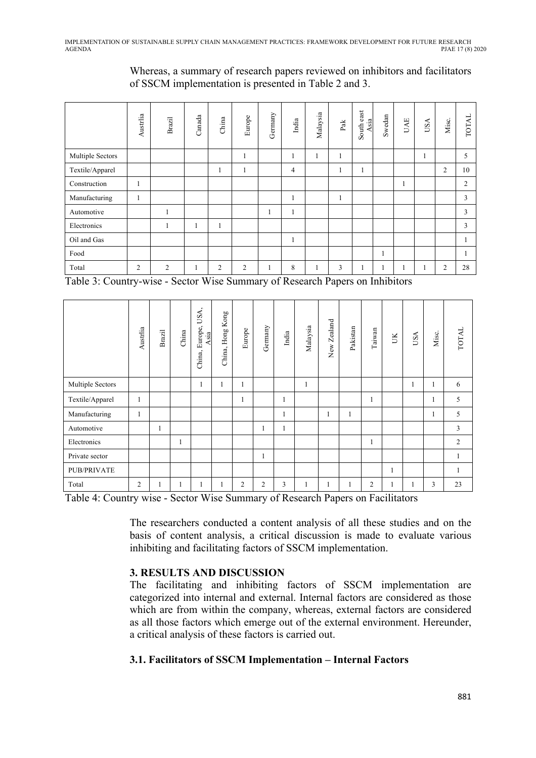| Whereas, a summary of research papers reviewed on inhibitors and facilitators |  |  |
|-------------------------------------------------------------------------------|--|--|
| of SSCM implementation is presented in Table 2 and 3.                         |  |  |

|                  | Austrlia       | Brazil         | Canada | China        | Europe         | Germany | India          | Malaysia     | $_{\rm Pak}$ | South east<br>Asia | Swedan | UAE | USA | Misc.          | <b>TOTAL</b> |
|------------------|----------------|----------------|--------|--------------|----------------|---------|----------------|--------------|--------------|--------------------|--------|-----|-----|----------------|--------------|
| Multiple Sectors |                |                |        |              | $\mathbf{1}$   |         |                |              | $\mathbf{1}$ |                    |        |     | 1   |                | 5            |
| Textile/Apparel  |                |                |        | 1            | 1              |         | $\overline{4}$ |              | ш            | $\mathbf{I}$       |        |     |     | $\overline{c}$ | 10           |
| Construction     | 1              |                |        |              |                |         |                |              |              |                    |        |     |     |                | 2            |
| Manufacturing    | 1              |                |        |              |                |         | ш              |              | 1<br>1       |                    |        |     |     |                | 3            |
| Automotive       |                | л<br>-1        |        |              |                | 1       |                |              |              |                    |        |     |     |                | 3            |
| Electronics      |                | л<br>-1        |        | $\mathbf{1}$ |                |         |                |              |              |                    |        |     |     |                | 3            |
| Oil and Gas      |                |                |        |              |                |         |                |              |              |                    |        |     |     |                | $\mathbf{I}$ |
| Food             |                |                |        |              |                |         |                |              |              |                    | 1      |     |     |                |              |
| Total            | $\overline{2}$ | $\overline{2}$ | -1     | 2            | $\overline{2}$ | 1       | 8              | $\mathbf{r}$ | 3            | 1                  | 1      |     | 1   | 2              | 28           |

Table 3: Country-wise - Sector Wise Summary of Research Papers on Inhibitors

|                  | Austrlia | Brazil | China | USA,<br>Europe,<br>Asia<br>China, | Hong Kong<br>China, | Europe       | Germany        | India | Malaysia     | New Zealand | Pakistan | Taiwan         | UK | USA | Misc. | <b>TOTAL</b>   |
|------------------|----------|--------|-------|-----------------------------------|---------------------|--------------|----------------|-------|--------------|-------------|----------|----------------|----|-----|-------|----------------|
| Multiple Sectors |          |        |       | 1                                 |                     | 1            |                |       | 1            |             |          |                |    |     |       | 6              |
| Textile/Apparel  |          |        |       |                                   |                     | $\mathbf{1}$ |                | 1     |              |             |          | -1             |    |     | H     | 5              |
| Manufacturing    | 1        |        |       |                                   |                     |              |                | 1     |              | 1           | 1        |                |    |     | ı     | 5              |
| Automotive       |          | 1      |       |                                   |                     |              | 1              | 1     |              |             |          |                |    |     |       | 3              |
| Electronics      |          |        |       |                                   |                     |              |                |       |              |             |          | 1              |    |     |       | $\mathfrak{2}$ |
| Private sector   |          |        |       |                                   |                     |              | 1              |       |              |             |          |                |    |     |       |                |
| PUB/PRIVATE      |          |        |       |                                   |                     |              |                |       |              |             |          |                | ı  |     |       | $\mathbf{1}$   |
| Total            | 2        |        |       | 1                                 |                     | 2            | $\overline{2}$ | 3     | $\mathbf{I}$ | 1           | 1        | $\overline{2}$ | 1  |     | 3     | 23             |

Table 4: Country wise - Sector Wise Summary of Research Papers on Facilitators

The researchers conducted a content analysis of all these studies and on the basis of content analysis, a critical discussion is made to evaluate various inhibiting and facilitating factors of SSCM implementation.

## **3. RESULTS AND DISCUSSION**

The facilitating and inhibiting factors of SSCM implementation are categorized into internal and external. Internal factors are considered as those which are from within the company, whereas, external factors are considered as all those factors which emerge out of the external environment. Hereunder, a critical analysis of these factors is carried out.

## **3.1. Facilitators of SSCM Implementation – Internal Factors**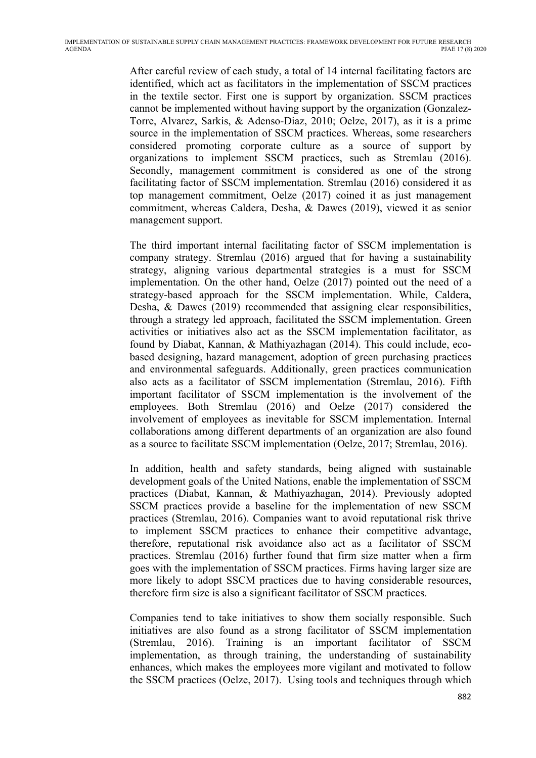After careful review of each study, a total of 14 internal facilitating factors are identified, which act as facilitators in the implementation of SSCM practices in the textile sector. First one is support by organization. SSCM practices cannot be implemented without having support by the organization (Gonzalez-Torre, Alvarez, Sarkis, & Adenso-Diaz, 2010; Oelze, 2017), as it is a prime source in the implementation of SSCM practices. Whereas, some researchers considered promoting corporate culture as a source of support by organizations to implement SSCM practices, such as Stremlau (2016). Secondly, management commitment is considered as one of the strong facilitating factor of SSCM implementation. Stremlau (2016) considered it as top management commitment, Oelze (2017) coined it as just management commitment, whereas Caldera, Desha, & Dawes (2019), viewed it as senior management support.

The third important internal facilitating factor of SSCM implementation is company strategy. Stremlau (2016) argued that for having a sustainability strategy, aligning various departmental strategies is a must for SSCM implementation. On the other hand, Oelze (2017) pointed out the need of a strategy-based approach for the SSCM implementation. While, Caldera, Desha, & Dawes (2019) recommended that assigning clear responsibilities, through a strategy led approach, facilitated the SSCM implementation. Green activities or initiatives also act as the SSCM implementation facilitator, as found by Diabat, Kannan, & Mathiyazhagan (2014). This could include, ecobased designing, hazard management, adoption of green purchasing practices and environmental safeguards. Additionally, green practices communication also acts as a facilitator of SSCM implementation (Stremlau, 2016). Fifth important facilitator of SSCM implementation is the involvement of the employees. Both Stremlau (2016) and Oelze (2017) considered the involvement of employees as inevitable for SSCM implementation. Internal collaborations among different departments of an organization are also found as a source to facilitate SSCM implementation (Oelze, 2017; Stremlau, 2016).

In addition, health and safety standards, being aligned with sustainable development goals of the United Nations, enable the implementation of SSCM practices (Diabat, Kannan, & Mathiyazhagan, 2014). Previously adopted SSCM practices provide a baseline for the implementation of new SSCM practices (Stremlau, 2016). Companies want to avoid reputational risk thrive to implement SSCM practices to enhance their competitive advantage, therefore, reputational risk avoidance also act as a facilitator of SSCM practices. Stremlau (2016) further found that firm size matter when a firm goes with the implementation of SSCM practices. Firms having larger size are more likely to adopt SSCM practices due to having considerable resources, therefore firm size is also a significant facilitator of SSCM practices.

Companies tend to take initiatives to show them socially responsible. Such initiatives are also found as a strong facilitator of SSCM implementation (Stremlau, 2016). Training is an important facilitator of SSCM implementation, as through training, the understanding of sustainability enhances, which makes the employees more vigilant and motivated to follow the SSCM practices (Oelze, 2017). Using tools and techniques through which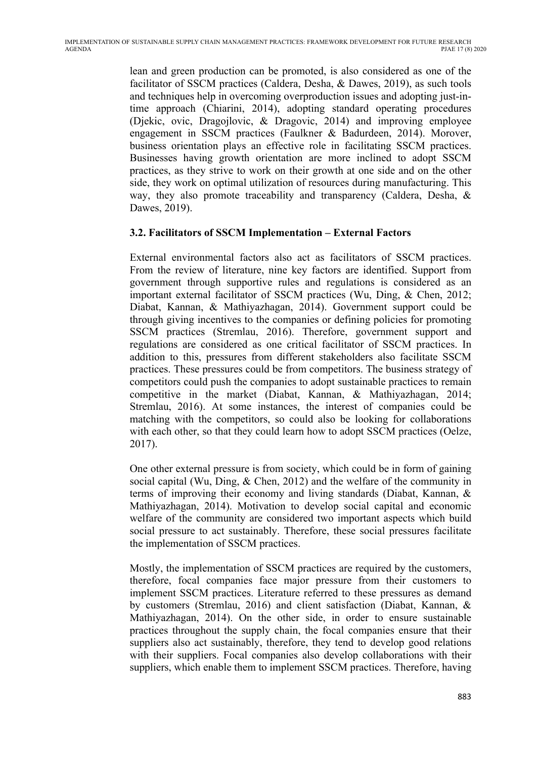lean and green production can be promoted, is also considered as one of the facilitator of SSCM practices (Caldera, Desha, & Dawes, 2019), as such tools and techniques help in overcoming overproduction issues and adopting just-intime approach (Chiarini, 2014), adopting standard operating procedures (Djekic, ovic, Dragojlovic, & Dragovic, 2014) and improving employee engagement in SSCM practices (Faulkner & Badurdeen, 2014). Morover, business orientation plays an effective role in facilitating SSCM practices. Businesses having growth orientation are more inclined to adopt SSCM practices, as they strive to work on their growth at one side and on the other side, they work on optimal utilization of resources during manufacturing. This way, they also promote traceability and transparency (Caldera, Desha, & Dawes, 2019).

#### **3.2. Facilitators of SSCM Implementation – External Factors**

External environmental factors also act as facilitators of SSCM practices. From the review of literature, nine key factors are identified. Support from government through supportive rules and regulations is considered as an important external facilitator of SSCM practices (Wu, Ding, & Chen, 2012; Diabat, Kannan, & Mathiyazhagan, 2014). Government support could be through giving incentives to the companies or defining policies for promoting SSCM practices (Stremlau, 2016). Therefore, government support and regulations are considered as one critical facilitator of SSCM practices. In addition to this, pressures from different stakeholders also facilitate SSCM practices. These pressures could be from competitors. The business strategy of competitors could push the companies to adopt sustainable practices to remain competitive in the market (Diabat, Kannan, & Mathiyazhagan, 2014; Stremlau, 2016). At some instances, the interest of companies could be matching with the competitors, so could also be looking for collaborations with each other, so that they could learn how to adopt SSCM practices (Oelze, 2017).

One other external pressure is from society, which could be in form of gaining social capital (Wu, Ding, & Chen, 2012) and the welfare of the community in terms of improving their economy and living standards (Diabat, Kannan, & Mathiyazhagan, 2014). Motivation to develop social capital and economic welfare of the community are considered two important aspects which build social pressure to act sustainably. Therefore, these social pressures facilitate the implementation of SSCM practices.

Mostly, the implementation of SSCM practices are required by the customers, therefore, focal companies face major pressure from their customers to implement SSCM practices. Literature referred to these pressures as demand by customers (Stremlau, 2016) and client satisfaction (Diabat, Kannan, & Mathiyazhagan, 2014). On the other side, in order to ensure sustainable practices throughout the supply chain, the focal companies ensure that their suppliers also act sustainably, therefore, they tend to develop good relations with their suppliers. Focal companies also develop collaborations with their suppliers, which enable them to implement SSCM practices. Therefore, having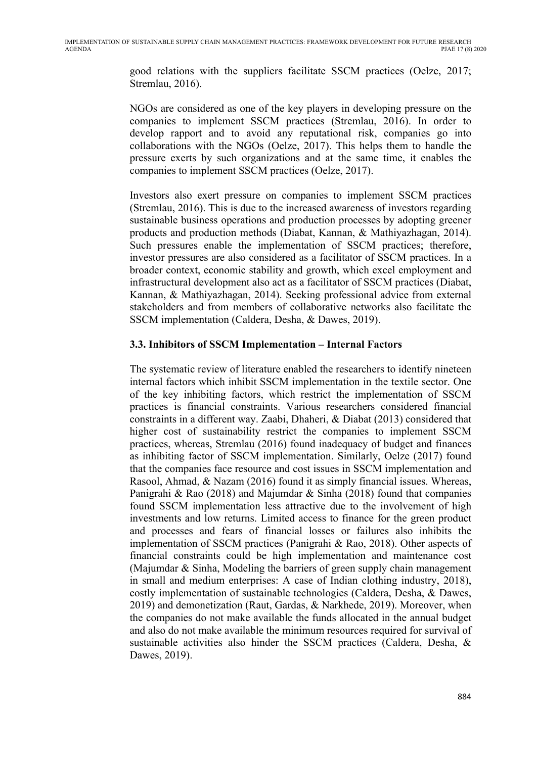good relations with the suppliers facilitate SSCM practices (Oelze, 2017; Stremlau, 2016).

NGOs are considered as one of the key players in developing pressure on the companies to implement SSCM practices (Stremlau, 2016). In order to develop rapport and to avoid any reputational risk, companies go into collaborations with the NGOs (Oelze, 2017). This helps them to handle the pressure exerts by such organizations and at the same time, it enables the companies to implement SSCM practices (Oelze, 2017).

Investors also exert pressure on companies to implement SSCM practices (Stremlau, 2016). This is due to the increased awareness of investors regarding sustainable business operations and production processes by adopting greener products and production methods (Diabat, Kannan, & Mathiyazhagan, 2014). Such pressures enable the implementation of SSCM practices; therefore, investor pressures are also considered as a facilitator of SSCM practices. In a broader context, economic stability and growth, which excel employment and infrastructural development also act as a facilitator of SSCM practices (Diabat, Kannan, & Mathiyazhagan, 2014). Seeking professional advice from external stakeholders and from members of collaborative networks also facilitate the SSCM implementation (Caldera, Desha, & Dawes, 2019).

#### **3.3. Inhibitors of SSCM Implementation – Internal Factors**

The systematic review of literature enabled the researchers to identify nineteen internal factors which inhibit SSCM implementation in the textile sector. One of the key inhibiting factors, which restrict the implementation of SSCM practices is financial constraints. Various researchers considered financial constraints in a different way. Zaabi, Dhaheri, & Diabat (2013) considered that higher cost of sustainability restrict the companies to implement SSCM practices, whereas, Stremlau (2016) found inadequacy of budget and finances as inhibiting factor of SSCM implementation. Similarly, Oelze (2017) found that the companies face resource and cost issues in SSCM implementation and Rasool, Ahmad, & Nazam (2016) found it as simply financial issues. Whereas, Panigrahi & Rao (2018) and Majumdar & Sinha (2018) found that companies found SSCM implementation less attractive due to the involvement of high investments and low returns. Limited access to finance for the green product and processes and fears of financial losses or failures also inhibits the implementation of SSCM practices (Panigrahi & Rao, 2018). Other aspects of financial constraints could be high implementation and maintenance cost (Majumdar & Sinha, Modeling the barriers of green supply chain management in small and medium enterprises: A case of Indian clothing industry, 2018), costly implementation of sustainable technologies (Caldera, Desha, & Dawes, 2019) and demonetization (Raut, Gardas, & Narkhede, 2019). Moreover, when the companies do not make available the funds allocated in the annual budget and also do not make available the minimum resources required for survival of sustainable activities also hinder the SSCM practices (Caldera, Desha, & Dawes, 2019).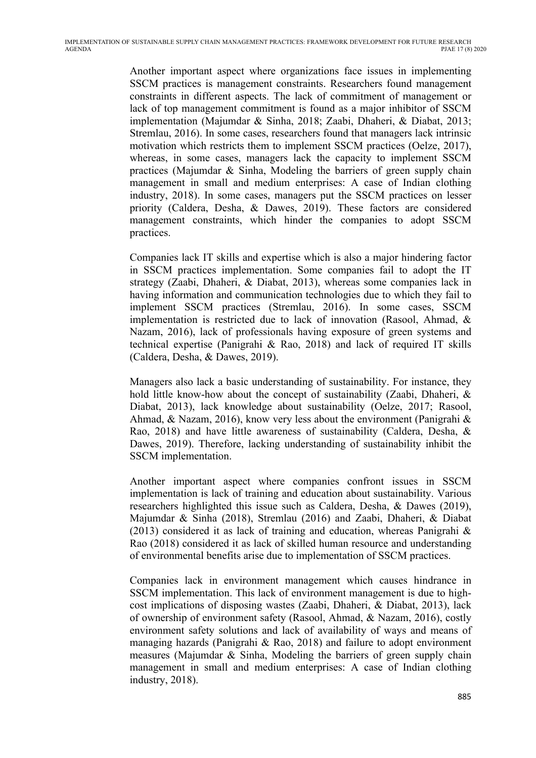Another important aspect where organizations face issues in implementing SSCM practices is management constraints. Researchers found management constraints in different aspects. The lack of commitment of management or lack of top management commitment is found as a major inhibitor of SSCM implementation (Majumdar & Sinha, 2018; Zaabi, Dhaheri, & Diabat, 2013; Stremlau, 2016). In some cases, researchers found that managers lack intrinsic motivation which restricts them to implement SSCM practices (Oelze, 2017), whereas, in some cases, managers lack the capacity to implement SSCM practices (Majumdar & Sinha, Modeling the barriers of green supply chain management in small and medium enterprises: A case of Indian clothing industry, 2018). In some cases, managers put the SSCM practices on lesser priority (Caldera, Desha, & Dawes, 2019). These factors are considered management constraints, which hinder the companies to adopt SSCM practices.

Companies lack IT skills and expertise which is also a major hindering factor in SSCM practices implementation. Some companies fail to adopt the IT strategy (Zaabi, Dhaheri, & Diabat, 2013), whereas some companies lack in having information and communication technologies due to which they fail to implement SSCM practices (Stremlau, 2016). In some cases, SSCM implementation is restricted due to lack of innovation (Rasool, Ahmad, & Nazam, 2016), lack of professionals having exposure of green systems and technical expertise (Panigrahi & Rao, 2018) and lack of required IT skills (Caldera, Desha, & Dawes, 2019).

Managers also lack a basic understanding of sustainability. For instance, they hold little know-how about the concept of sustainability (Zaabi, Dhaheri, & Diabat, 2013), lack knowledge about sustainability (Oelze, 2017; Rasool, Ahmad, & Nazam, 2016), know very less about the environment (Panigrahi & Rao, 2018) and have little awareness of sustainability (Caldera, Desha, & Dawes, 2019). Therefore, lacking understanding of sustainability inhibit the SSCM implementation.

Another important aspect where companies confront issues in SSCM implementation is lack of training and education about sustainability. Various researchers highlighted this issue such as Caldera, Desha, & Dawes (2019), Majumdar & Sinha (2018), Stremlau (2016) and Zaabi, Dhaheri, & Diabat (2013) considered it as lack of training and education, whereas Panigrahi & Rao (2018) considered it as lack of skilled human resource and understanding of environmental benefits arise due to implementation of SSCM practices.

Companies lack in environment management which causes hindrance in SSCM implementation. This lack of environment management is due to highcost implications of disposing wastes (Zaabi, Dhaheri, & Diabat, 2013), lack of ownership of environment safety (Rasool, Ahmad, & Nazam, 2016), costly environment safety solutions and lack of availability of ways and means of managing hazards (Panigrahi & Rao, 2018) and failure to adopt environment measures (Majumdar & Sinha, Modeling the barriers of green supply chain management in small and medium enterprises: A case of Indian clothing industry, 2018).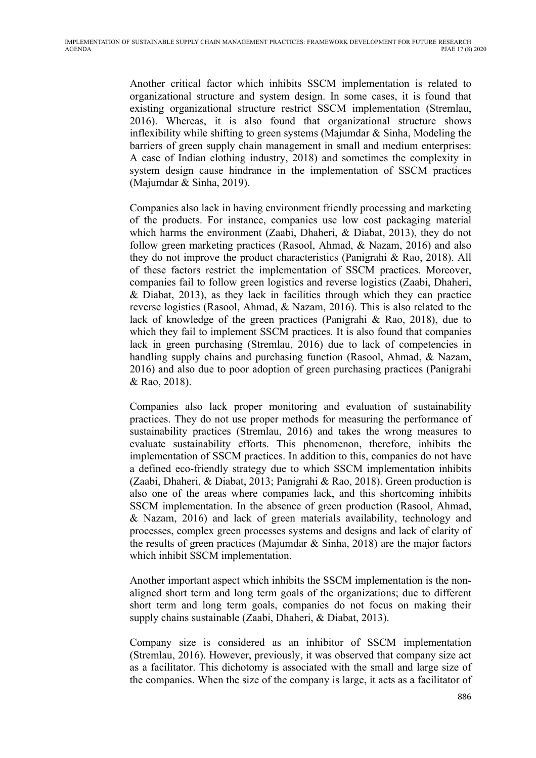Another critical factor which inhibits SSCM implementation is related to organizational structure and system design. In some cases, it is found that existing organizational structure restrict SSCM implementation (Stremlau, 2016). Whereas, it is also found that organizational structure shows inflexibility while shifting to green systems (Majumdar & Sinha, Modeling the barriers of green supply chain management in small and medium enterprises: A case of Indian clothing industry, 2018) and sometimes the complexity in system design cause hindrance in the implementation of SSCM practices (Majumdar & Sinha, 2019).

Companies also lack in having environment friendly processing and marketing of the products. For instance, companies use low cost packaging material which harms the environment (Zaabi, Dhaheri, & Diabat, 2013), they do not follow green marketing practices (Rasool, Ahmad, & Nazam, 2016) and also they do not improve the product characteristics (Panigrahi & Rao, 2018). All of these factors restrict the implementation of SSCM practices. Moreover, companies fail to follow green logistics and reverse logistics (Zaabi, Dhaheri, & Diabat, 2013), as they lack in facilities through which they can practice reverse logistics (Rasool, Ahmad, & Nazam, 2016). This is also related to the lack of knowledge of the green practices (Panigrahi & Rao, 2018), due to which they fail to implement SSCM practices. It is also found that companies lack in green purchasing (Stremlau, 2016) due to lack of competencies in handling supply chains and purchasing function (Rasool, Ahmad, & Nazam, 2016) and also due to poor adoption of green purchasing practices (Panigrahi & Rao, 2018).

Companies also lack proper monitoring and evaluation of sustainability practices. They do not use proper methods for measuring the performance of sustainability practices (Stremlau, 2016) and takes the wrong measures to evaluate sustainability efforts. This phenomenon, therefore, inhibits the implementation of SSCM practices. In addition to this, companies do not have a defined eco-friendly strategy due to which SSCM implementation inhibits (Zaabi, Dhaheri, & Diabat, 2013; Panigrahi & Rao, 2018). Green production is also one of the areas where companies lack, and this shortcoming inhibits SSCM implementation. In the absence of green production (Rasool, Ahmad, & Nazam, 2016) and lack of green materials availability, technology and processes, complex green processes systems and designs and lack of clarity of the results of green practices (Majumdar & Sinha, 2018) are the major factors which inhibit SSCM implementation.

Another important aspect which inhibits the SSCM implementation is the nonaligned short term and long term goals of the organizations; due to different short term and long term goals, companies do not focus on making their supply chains sustainable (Zaabi, Dhaheri, & Diabat, 2013).

Company size is considered as an inhibitor of SSCM implementation (Stremlau, 2016). However, previously, it was observed that company size act as a facilitator. This dichotomy is associated with the small and large size of the companies. When the size of the company is large, it acts as a facilitator of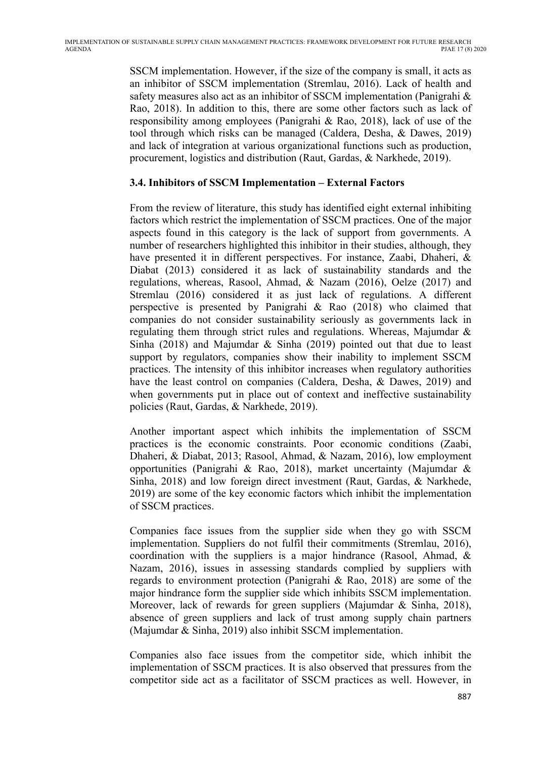SSCM implementation. However, if the size of the company is small, it acts as an inhibitor of SSCM implementation (Stremlau, 2016). Lack of health and safety measures also act as an inhibitor of SSCM implementation (Panigrahi & Rao, 2018). In addition to this, there are some other factors such as lack of responsibility among employees (Panigrahi & Rao, 2018), lack of use of the tool through which risks can be managed (Caldera, Desha, & Dawes, 2019) and lack of integration at various organizational functions such as production, procurement, logistics and distribution (Raut, Gardas, & Narkhede, 2019).

#### **3.4. Inhibitors of SSCM Implementation – External Factors**

From the review of literature, this study has identified eight external inhibiting factors which restrict the implementation of SSCM practices. One of the major aspects found in this category is the lack of support from governments. A number of researchers highlighted this inhibitor in their studies, although, they have presented it in different perspectives. For instance, Zaabi, Dhaheri, & Diabat (2013) considered it as lack of sustainability standards and the regulations, whereas, Rasool, Ahmad, & Nazam (2016), Oelze (2017) and Stremlau (2016) considered it as just lack of regulations. A different perspective is presented by Panigrahi & Rao (2018) who claimed that companies do not consider sustainability seriously as governments lack in regulating them through strict rules and regulations. Whereas, Majumdar & Sinha (2018) and Majumdar & Sinha (2019) pointed out that due to least support by regulators, companies show their inability to implement SSCM practices. The intensity of this inhibitor increases when regulatory authorities have the least control on companies (Caldera, Desha, & Dawes, 2019) and when governments put in place out of context and ineffective sustainability policies (Raut, Gardas, & Narkhede, 2019).

Another important aspect which inhibits the implementation of SSCM practices is the economic constraints. Poor economic conditions (Zaabi, Dhaheri, & Diabat, 2013; Rasool, Ahmad, & Nazam, 2016), low employment opportunities (Panigrahi & Rao, 2018), market uncertainty (Majumdar & Sinha, 2018) and low foreign direct investment (Raut, Gardas, & Narkhede, 2019) are some of the key economic factors which inhibit the implementation of SSCM practices.

Companies face issues from the supplier side when they go with SSCM implementation. Suppliers do not fulfil their commitments (Stremlau, 2016), coordination with the suppliers is a major hindrance (Rasool, Ahmad, & Nazam, 2016), issues in assessing standards complied by suppliers with regards to environment protection (Panigrahi & Rao, 2018) are some of the major hindrance form the supplier side which inhibits SSCM implementation. Moreover, lack of rewards for green suppliers (Majumdar & Sinha, 2018), absence of green suppliers and lack of trust among supply chain partners (Majumdar & Sinha, 2019) also inhibit SSCM implementation.

Companies also face issues from the competitor side, which inhibit the implementation of SSCM practices. It is also observed that pressures from the competitor side act as a facilitator of SSCM practices as well. However, in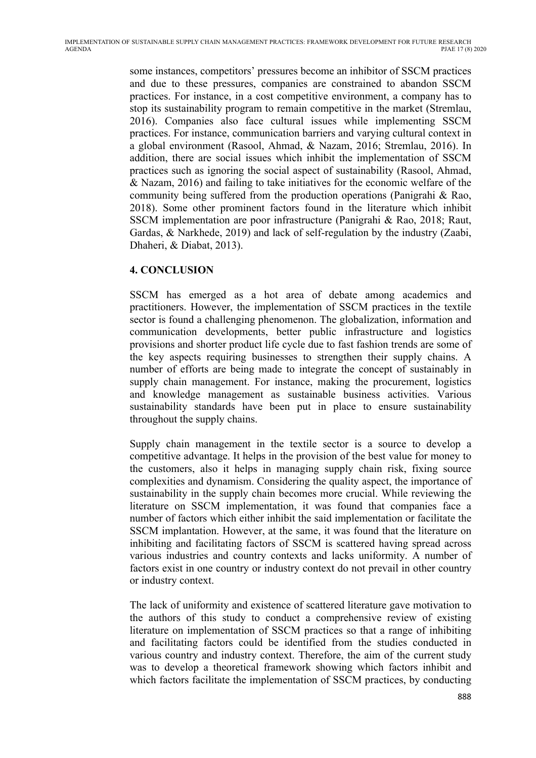some instances, competitors' pressures become an inhibitor of SSCM practices and due to these pressures, companies are constrained to abandon SSCM practices. For instance, in a cost competitive environment, a company has to stop its sustainability program to remain competitive in the market (Stremlau, 2016). Companies also face cultural issues while implementing SSCM practices. For instance, communication barriers and varying cultural context in a global environment (Rasool, Ahmad, & Nazam, 2016; Stremlau, 2016). In addition, there are social issues which inhibit the implementation of SSCM practices such as ignoring the social aspect of sustainability (Rasool, Ahmad, & Nazam, 2016) and failing to take initiatives for the economic welfare of the community being suffered from the production operations (Panigrahi & Rao, 2018). Some other prominent factors found in the literature which inhibit SSCM implementation are poor infrastructure (Panigrahi & Rao, 2018; Raut, Gardas, & Narkhede, 2019) and lack of self-regulation by the industry (Zaabi, Dhaheri, & Diabat, 2013).

## **4. CONCLUSION**

SSCM has emerged as a hot area of debate among academics and practitioners. However, the implementation of SSCM practices in the textile sector is found a challenging phenomenon. The globalization, information and communication developments, better public infrastructure and logistics provisions and shorter product life cycle due to fast fashion trends are some of the key aspects requiring businesses to strengthen their supply chains. A number of efforts are being made to integrate the concept of sustainably in supply chain management. For instance, making the procurement, logistics and knowledge management as sustainable business activities. Various sustainability standards have been put in place to ensure sustainability throughout the supply chains.

Supply chain management in the textile sector is a source to develop a competitive advantage. It helps in the provision of the best value for money to the customers, also it helps in managing supply chain risk, fixing source complexities and dynamism. Considering the quality aspect, the importance of sustainability in the supply chain becomes more crucial. While reviewing the literature on SSCM implementation, it was found that companies face a number of factors which either inhibit the said implementation or facilitate the SSCM implantation. However, at the same, it was found that the literature on inhibiting and facilitating factors of SSCM is scattered having spread across various industries and country contexts and lacks uniformity. A number of factors exist in one country or industry context do not prevail in other country or industry context.

The lack of uniformity and existence of scattered literature gave motivation to the authors of this study to conduct a comprehensive review of existing literature on implementation of SSCM practices so that a range of inhibiting and facilitating factors could be identified from the studies conducted in various country and industry context. Therefore, the aim of the current study was to develop a theoretical framework showing which factors inhibit and which factors facilitate the implementation of SSCM practices, by conducting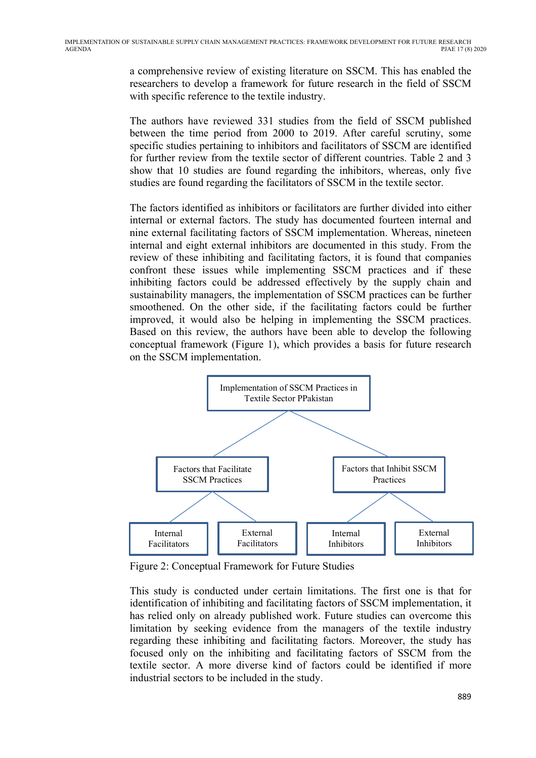a comprehensive review of existing literature on SSCM. This has enabled the researchers to develop a framework for future research in the field of SSCM with specific reference to the textile industry.

The authors have reviewed 331 studies from the field of SSCM published between the time period from 2000 to 2019. After careful scrutiny, some specific studies pertaining to inhibitors and facilitators of SSCM are identified for further review from the textile sector of different countries. Table 2 and 3 show that 10 studies are found regarding the inhibitors, whereas, only five studies are found regarding the facilitators of SSCM in the textile sector.

The factors identified as inhibitors or facilitators are further divided into either internal or external factors. The study has documented fourteen internal and nine external facilitating factors of SSCM implementation. Whereas, nineteen internal and eight external inhibitors are documented in this study. From the review of these inhibiting and facilitating factors, it is found that companies confront these issues while implementing SSCM practices and if these inhibiting factors could be addressed effectively by the supply chain and sustainability managers, the implementation of SSCM practices can be further smoothened. On the other side, if the facilitating factors could be further improved, it would also be helping in implementing the SSCM practices. Based on this review, the authors have been able to develop the following conceptual framework (Figure 1), which provides a basis for future research on the SSCM implementation.



Figure 2: Conceptual Framework for Future Studies

This study is conducted under certain limitations. The first one is that for identification of inhibiting and facilitating factors of SSCM implementation, it has relied only on already published work. Future studies can overcome this limitation by seeking evidence from the managers of the textile industry regarding these inhibiting and facilitating factors. Moreover, the study has focused only on the inhibiting and facilitating factors of SSCM from the textile sector. A more diverse kind of factors could be identified if more industrial sectors to be included in the study.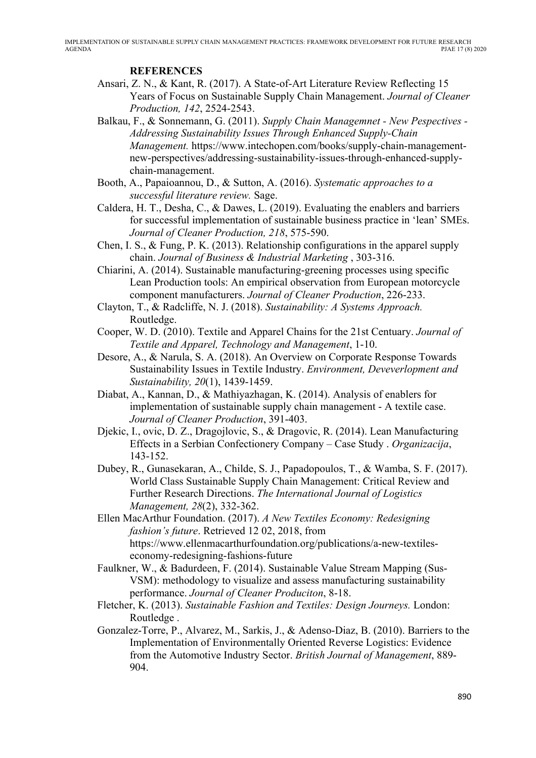#### **REFERENCES**

- Ansari, Z. N., & Kant, R. (2017). A State-of-Art Literature Review Reflecting 15 Years of Focus on Sustainable Supply Chain Management. *Journal of Cleaner Production, 142*, 2524-2543.
- Balkau, F., & Sonnemann, G. (2011). *Supply Chain Managemnet - New Pespectives - Addressing Sustainability Issues Through Enhanced Supply-Chain Management.* https://www.intechopen.com/books/supply-chain-managementnew-perspectives/addressing-sustainability-issues-through-enhanced-supplychain-management.
- Booth, A., Papaioannou, D., & Sutton, A. (2016). *Systematic approaches to a successful literature review.* Sage.
- Caldera, H. T., Desha, C., & Dawes, L. (2019). Evaluating the enablers and barriers for successful implementation of sustainable business practice in 'lean' SMEs. *Journal of Cleaner Production, 218*, 575-590.
- Chen, I. S., & Fung, P. K. (2013). Relationship configurations in the apparel supply chain. *Journal of Business & Industrial Marketing* , 303-316.
- Chiarini, A. (2014). Sustainable manufacturing-greening processes using specific Lean Production tools: An empirical observation from European motorcycle component manufacturers. *Journal of Cleaner Production*, 226-233.
- Clayton, T., & Radcliffe, N. J. (2018). *Sustainability: A Systems Approach.* Routledge.
- Cooper, W. D. (2010). Textile and Apparel Chains for the 21st Centuary. *Journal of Textile and Apparel, Technology and Management*, 1-10.
- Desore, A., & Narula, S. A. (2018). An Overview on Corporate Response Towards Sustainability Issues in Textile Industry. *Environment, Deveverlopment and Sustainability, 20*(1), 1439-1459.
- Diabat, A., Kannan, D., & Mathiyazhagan, K. (2014). Analysis of enablers for implementation of sustainable supply chain management - A textile case. *Journal of Cleaner Production*, 391-403.
- Djekic, I., ovic, D. Z., Dragojlovic, S., & Dragovic, R. (2014). Lean Manufacturing Effects in a Serbian Confectionery Company – Case Study . *Organizacija*, 143-152.
- Dubey, R., Gunasekaran, A., Childe, S. J., Papadopoulos, T., & Wamba, S. F. (2017). World Class Sustainable Supply Chain Management: Critical Review and Further Research Directions. *The International Journal of Logistics Management, 28*(2), 332-362.
- Ellen MacArthur Foundation. (2017). *A New Textiles Economy: Redesigning fashion's future*. Retrieved 12 02, 2018, from https://www.ellenmacarthurfoundation.org/publications/a-new-textileseconomy-redesigning-fashions-future
- Faulkner, W., & Badurdeen, F. (2014). Sustainable Value Stream Mapping (Sus-VSM): methodology to visualize and assess manufacturing sustainability performance. *Journal of Cleaner Produciton*, 8-18.
- Fletcher, K. (2013). *Sustainable Fashion and Textiles: Design Journeys.* London: Routledge .
- Gonzalez-Torre, P., Alvarez, M., Sarkis, J., & Adenso-Diaz, B. (2010). Barriers to the Implementation of Environmentally Oriented Reverse Logistics: Evidence from the Automotive Industry Sector. *British Journal of Management*, 889- 904.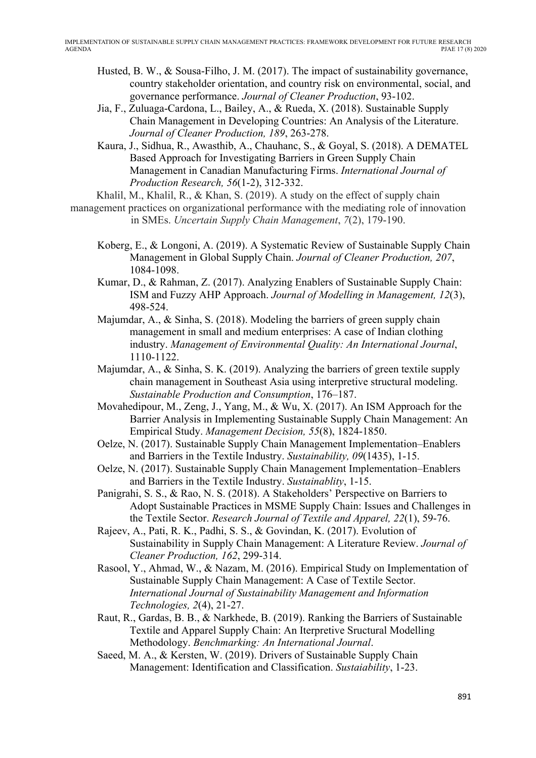- Husted, B. W., & Sousa-Filho, J. M. (2017). The impact of sustainability governance, country stakeholder orientation, and country risk on environmental, social, and governance performance. *Journal of Cleaner Production*, 93-102.
- Jia, F., Zuluaga-Cardona, L., Bailey, A., & Rueda, X. (2018). Sustainable Supply Chain Management in Developing Countries: An Analysis of the Literature. *Journal of Cleaner Production, 189*, 263-278.
- Kaura, J., Sidhua, R., Awasthib, A., Chauhanc, S., & Goyal, S. (2018). A DEMATEL Based Approach for Investigating Barriers in Green Supply Chain Management in Canadian Manufacturing Firms. *International Journal of Production Research, 56*(1-2), 312-332.

Khalil, M., Khalil, R., & Khan, S. (2019). A study on the effect of supply chain

- management practices on organizational performance with the mediating role of innovation in SMEs. *Uncertain Supply Chain Management*, *7*(2), 179-190.
	- Koberg, E., & Longoni, A. (2019). A Systematic Review of Sustainable Supply Chain Management in Global Supply Chain. *Journal of Cleaner Production, 207*, 1084-1098.
	- Kumar, D., & Rahman, Z. (2017). Analyzing Enablers of Sustainable Supply Chain: ISM and Fuzzy AHP Approach. *Journal of Modelling in Management, 12*(3), 498-524.
	- Majumdar, A., & Sinha, S. (2018). Modeling the barriers of green supply chain management in small and medium enterprises: A case of Indian clothing industry. *Management of Environmental Quality: An International Journal*, 1110-1122.
	- Majumdar, A., & Sinha, S. K. (2019). Analyzing the barriers of green textile supply chain management in Southeast Asia using interpretive structural modeling. *Sustainable Production and Consumption*, 176–187.
	- Movahedipour, M., Zeng, J., Yang, M., & Wu, X. (2017). An ISM Approach for the Barrier Analysis in Implementing Sustainable Supply Chain Management: An Empirical Study. *Management Decision, 55*(8), 1824-1850.
	- Oelze, N. (2017). Sustainable Supply Chain Management Implementation–Enablers and Barriers in the Textile Industry. *Sustainability, 09*(1435), 1-15.
	- Oelze, N. (2017). Sustainable Supply Chain Management Implementation–Enablers and Barriers in the Textile Industry. *Sustainablity*, 1-15.
	- Panigrahi, S. S., & Rao, N. S. (2018). A Stakeholders' Perspective on Barriers to Adopt Sustainable Practices in MSME Supply Chain: Issues and Challenges in the Textile Sector. *Research Journal of Textile and Apparel, 22*(1), 59-76.
	- Rajeev, A., Pati, R. K., Padhi, S. S., & Govindan, K. (2017). Evolution of Sustainability in Supply Chain Management: A Literature Review. *Journal of Cleaner Production, 162*, 299-314.
	- Rasool, Y., Ahmad, W., & Nazam, M. (2016). Empirical Study on Implementation of Sustainable Supply Chain Management: A Case of Textile Sector. *International Journal of Sustainability Management and Information Technologies, 2*(4), 21-27.
	- Raut, R., Gardas, B. B., & Narkhede, B. (2019). Ranking the Barriers of Sustainable Textile and Apparel Supply Chain: An Iterpretive Sructural Modelling Methodology. *Benchmarking: An International Journal*.
	- Saeed, M. A., & Kersten, W. (2019). Drivers of Sustainable Supply Chain Management: Identification and Classification. *Sustaiability*, 1-23.